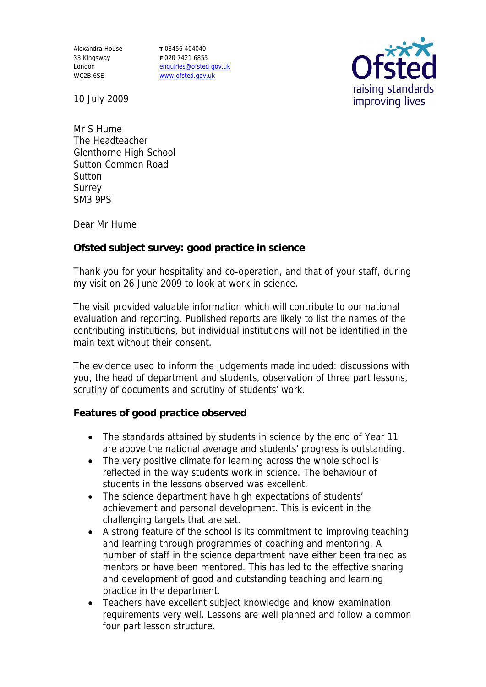Alexandra House 33 Kingsway London WC2B 6SE

**T** 08456 404040 **F** 020 7421 6855 enquiries@ofsted.gov.uk www.ofsted.gov.uk



10 July 2009

Mr S Hume The Headteacher Glenthorne High School Sutton Common Road **Sutton** Surrey SM3 9PS

Dear Mr Hume

**Ofsted subject survey: good practice in science**

Thank you for your hospitality and co-operation, and that of your staff, during my visit on 26 June 2009 to look at work in science.

The visit provided valuable information which will contribute to our national evaluation and reporting. Published reports are likely to list the names of the contributing institutions, but individual institutions will not be identified in the main text without their consent.

The evidence used to inform the judgements made included: discussions with you, the head of department and students, observation of three part lessons, scrutiny of documents and scrutiny of students' work.

**Features of good practice observed**

- The standards attained by students in science by the end of Year 11 are above the national average and students' progress is outstanding.
- The very positive climate for learning across the whole school is reflected in the way students work in science. The behaviour of students in the lessons observed was excellent.
- The science department have high expectations of students' achievement and personal development. This is evident in the challenging targets that are set.
- A strong feature of the school is its commitment to improving teaching and learning through programmes of coaching and mentoring. A number of staff in the science department have either been trained as mentors or have been mentored. This has led to the effective sharing and development of good and outstanding teaching and learning practice in the department.
- Teachers have excellent subject knowledge and know examination requirements very well. Lessons are well planned and follow a common four part lesson structure.